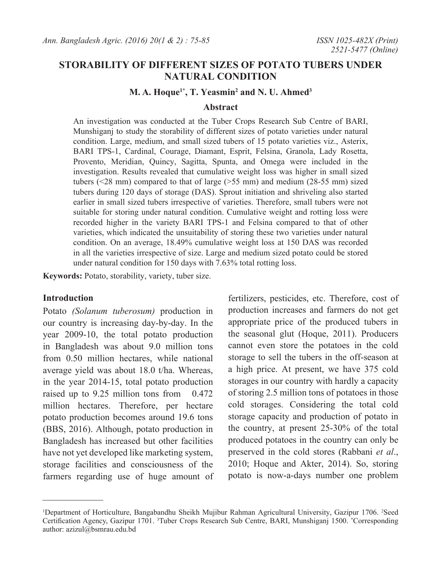# **STORABILITY OF DIFFERENT SIZES OF POTATO TUBERS UNDER NATURAL CONDITION**

#### **M. A. Hoque1\*, T. Yeasmin2 and N. U. Ahmed3**

#### **Abstract**

An investigation was conducted at the Tuber Crops Research Sub Centre of BARI, Munshiganj to study the storability of different sizes of potato varieties under natural condition. Large, medium, and small sized tubers of 15 potato varieties viz., Asterix, BARI TPS-1, Cardinal, Courage, Diamant, Esprit, Felsina, Granola, Lady Rosetta, Provento, Meridian, Quincy, Sagitta, Spunta, and Omega were included in the investigation. Results revealed that cumulative weight loss was higher in small sized tubers (<28 mm) compared to that of large (>55 mm) and medium (28-55 mm) sized tubers during 120 days of storage (DAS). Sprout initiation and shriveling also started earlier in small sized tubers irrespective of varieties. Therefore, small tubers were not suitable for storing under natural condition. Cumulative weight and rotting loss were recorded higher in the variety BARI TPS-1 and Felsina compared to that of other varieties, which indicated the unsuitability of storing these two varieties under natural condition. On an average, 18.49% cumulative weight loss at 150 DAS was recorded in all the varieties irrespective of size. Large and medium sized potato could be stored under natural condition for 150 days with 7.63% total rotting loss.

**Keywords:** Potato, storability, variety, tuber size.

### **Introduction**

Potato *(Solanum tuberosum)* production in our country is increasing day-by-day. In the year 2009-10, the total potato production in Bangladesh was about 9.0 million tons from 0.50 million hectares, while national average yield was about 18.0 t/ha. Whereas, in the year 2014-15, total potato production raised up to 9.25 million tons from 0.472 million hectares. Therefore, per hectare potato production becomes around 19.6 tons (BBS, 2016). Although, potato production in Bangladesh has increased but other facilities have not yet developed like marketing system, storage facilities and consciousness of the farmers regarding use of huge amount of

fertilizers, pesticides, etc. Therefore, cost of production increases and farmers do not get appropriate price of the produced tubers in the seasonal glut (Hoque, 2011). Producers cannot even store the potatoes in the cold storage to sell the tubers in the off-season at a high price. At present, we have 375 cold storages in our country with hardly a capacity of storing 2.5 million tons of potatoes in those cold storages. Considering the total cold storage capacity and production of potato in the country, at present 25-30% of the total produced potatoes in the country can only be preserved in the cold stores (Rabbani *et al*., 2010; Hoque and Akter, 2014). So, storing potato is now-a-days number one problem

<sup>&</sup>lt;sup>1</sup>Department of Horticulture, Bangabandhu Sheikh Mujibur Rahman Agricultural University, Gazipur 1706. <sup>2</sup>Seed Certification Agency, Gazipur 1701. <sup>3</sup>Tuber Crops Research Sub Centre, BARI, Munshiganj 1500. \*Corresponding author: azizul@bsmrau.edu.bd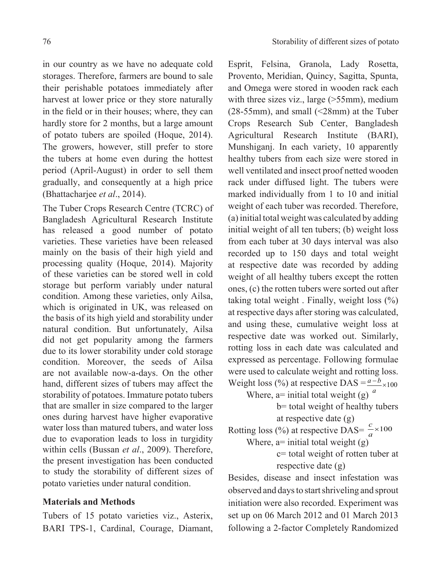storages. Therefore, farmers are bound to sale their perishable potatoes immediately after harvest at lower price or they store naturally in the field or in their houses; where, they can hardly store for 2 months, but a large amount of potato tubers are spoiled (Hoque, 2014). The growers, however, still prefer to store the tubers at home even during the hottest period (April-August) in order to sell them gradually, and consequently at a high price (Bhattacharjee *et al*., 2014).

The Tuber Crops Research Centre (TCRC) of Bangladesh Agricultural Research Institute has released a good number of potato varieties. These varieties have been released mainly on the basis of their high yield and processing quality (Hoque, 2014). Majority of these varieties can be stored well in cold storage but perform variably under natural condition. Among these varieties, only Ailsa, which is originated in UK, was released on the basis of its high yield and storability under natural condition. But unfortunately, Ailsa did not get popularity among the farmers due to its lower storability under cold storage condition. Moreover, the seeds of Ailsa are not available now-a-days. On the other hand, different sizes of tubers may affect the storability of potatoes. Immature potato tubers that are smaller in size compared to the larger ones during harvest have higher evaporative water loss than matured tubers, and water loss due to evaporation leads to loss in turgidity within cells (Bussan *et al*., 2009). Therefore, the present investigation has been conducted to study the storability of different sizes of potato varieties under natural condition.

## **Materials and Methods**

Tubers of 15 potato varieties viz., Asterix, BARI TPS-1, Cardinal, Courage, Diamant,

Esprit, Felsina, Granola, Lady Rosetta, Provento, Meridian, Quincy, Sagitta, Spunta, and Omega were stored in wooden rack each with three sizes viz., large (>55mm), medium (28-55mm), and small (<28mm) at the Tuber Crops Research Sub Center, Bangladesh Agricultural Research Institute (BARI), Munshiganj. In each variety, 10 apparently healthy tubers from each size were stored in well ventilated and insect proof netted wooden rack under diffused light. The tubers were marked individually from 1 to 10 and initial weight of each tuber was recorded. Therefore, (a) initial total weight was calculated by adding initial weight of all ten tubers; (b) weight loss from each tuber at 30 days interval was also recorded up to 150 days and total weight at respective date was recorded by adding weight of all healthy tubers except the rotten ones, (c) the rotten tubers were sorted out after taking total weight . Finally, weight loss (%) at respective days after storing was calculated, and using these, cumulative weight loss at respective date was worked out. Similarly, rotting loss in each date was calculated and expressed as percentage. Following formulae were used to calculate weight and rotting loss. Weight loss (%) at respective DAS =  $\frac{a-b}{a} \times 100$ 

Where,  $a =$  initial total weight (g)  $a$ 

b= total weight of healthy tubers at respective date (g)

Rotting loss (%) at respective DAS=  $\frac{c}{a}$  × 100

Where,  $a=$  initial total weight  $(g)$ 

c= total weight of rotten tuber at respective date (g)

Besides, disease and insect infestation was observed and days to start shriveling and sprout initiation were also recorded. Experiment was set up on 06 March 2012 and 01 March 2013 following a 2-factor Completely Randomized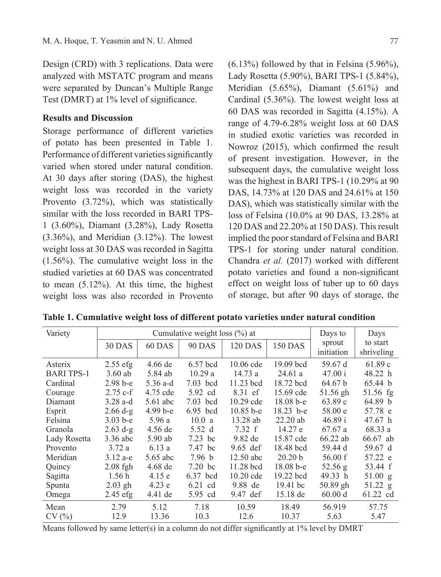Design (CRD) with 3 replications. Data were analyzed with MSTATC program and means were separated by Duncan's Multiple Range Test (DMRT) at 1% level of significance.

### **Results and Discussion**

Storage performance of different varieties of potato has been presented in Table 1. Performance of different varieties significantly varied when stored under natural condition. At 30 days after storing (DAS), the highest weight loss was recorded in the variety Provento (3.72%), which was statistically similar with the loss recorded in BARI TPS-1 (3.60%), Diamant (3.28%), Lady Rosetta  $(3.36\%)$ , and Meridian  $(3.12\%)$ . The lowest weight loss at 30 DAS was recorded in Sagitta (1.56%). The cumulative weight loss in the studied varieties at 60 DAS was concentrated to mean (5.12%). At this time, the highest weight loss was also recorded in Provento

 $(6.13\%)$  followed by that in Felsina  $(5.96\%)$ , Lady Rosetta (5.90%), BARI TPS-1 (5.84%), Meridian (5.65%), Diamant (5.61%) and Cardinal (5.36%). The lowest weight loss at 60 DAS was recorded in Sagitta (4.15%). A range of 4.79-6.28% weight loss at 60 DAS in studied exotic varieties was recorded in Nowroz (2015), which confirmed the result of present investigation. However, in the subsequent days, the cumulative weight loss was the highest in BARI TPS-1 (10.29% at 90 DAS, 14.73% at 120 DAS and 24.61% at 150 DAS), which was statistically similar with the loss of Felsina (10.0% at 90 DAS, 13.28% at 120 DAS and 22.20% at 150 DAS). This result implied the poor standard of Felsina and BARI TPS-1 for storing under natural condition. Chandra *et al.* (2017) worked with different potato varieties and found a non-significant effect on weight loss of tuber up to 60 days of storage, but after 90 days of storage, the

| Variety           |               | Cumulative weight loss $(\% )$ at | Days to       | Days           |                    |                      |                        |
|-------------------|---------------|-----------------------------------|---------------|----------------|--------------------|----------------------|------------------------|
|                   | <b>30 DAS</b> | 60 DAS                            | <b>90 DAS</b> | <b>120 DAS</b> | <b>150 DAS</b>     | sprout<br>initiation | to start<br>shriveling |
| Asterix           | $2.55$ efg    | $4.66$ de                         | $6.57$ bcd    | $10.06$ cde    | $19.09$ bcd        | 59.67 d              | 61.89c                 |
| <b>BARI TPS-1</b> | $3.60$ ab     | 5.84 ab                           | 10.29a        | 14.73a         | 24.61a             | 47.00 i              | 48.22 h                |
| Cardinal          | $2.98b-e$     | $5.36$ a-d                        | $7.03$ bcd    | 11.23 bcd      | 18.72 bcd          | 64.67 b              | 65.44 b                |
| Courage           | $2.75$ c-f    | 4.75 cde                          | 5.92 cd       | 8.31 ef        | 15.69 cde          | 51.56 gh             | 51.56 fg               |
| Diamant           | $3.28$ a-d    | $5.61$ abc                        | $7.03$ bcd    | $10.29$ cde    | $18.08 b - e$      | 63.89 c              | 64.89 b                |
| Esprit            | $2.66 d-g$    | $4.99b-e$                         | 6.95 bcd      | $10.85 b - e$  | $18.23$ b-e        | 58.00 e              | 57.78 e                |
| Felsina           | $3.03 b-e$    | 5.96a                             | 10.0a         | $13.28$ ab     | $22.20$ ab         | 46.89 i              | 47.67 h                |
| Granola           | $2.63$ d-g    | 4.56 de                           | 5.52 d        | 7.32 f         | 14.27 e            | 67.67 a              | 68.33 a                |
| Lady Rosetta      | 3.36 abc      | 5.90 ab                           | $7.23$ bc     | 9.82 de        | 15.87 cde          | $66.22$ ab           | 66.67 ab               |
| Provento          | 3.72a         | 6.13a                             | 7.47 bc       | $9.65$ def     | 18.48 bcd          | 59.44 d              | 59.67 d                |
| Meridian          | $3.12 a-e$    | 5.65 abc                          | 7.96 b        | $12.50$ abc    | 20.20 <sub>b</sub> | 56.00 f              | 57.22 e                |
| Quincy            | $2.08$ fgh    | 4.68 de                           | $7.20$ bc     | $11.28$ bcd    | $18.08b-e$         | 52.56 g              | 53.44 f                |
| Sagitta           | 1.56h         | 4.15e                             | 6.37 bcd      | $10.20$ cde    | 19.22 bcd          | 49.33 h              | 51.00 g                |
| Spunta            | $2.03$ gh     | 4.23 e                            | $6.21$ cd     | 9.88 de        | $19.41$ bc         | $50.89$ gh           | 51.22 g                |
| Omega             | 2.45 efg      | 4.41 de                           | 5.95 cd       | 9.47 def       | 15.18 de           | 60.00 d              | 61.22 cd               |
| Mean              | 2.79          | 5.12                              | 7.18          | 10.59          | 18.49              | 56.919               | 57.75                  |
| CV(%)             | 12.9          | 13.36                             | 10.3          | 12.6           | 10.37              | 5.63                 | 5.47                   |

**Table 1. Cumulative weight loss of different potato varieties under natural condition**

Means followed by same letter(s) in a column do not differ significantly at 1% level by DMRT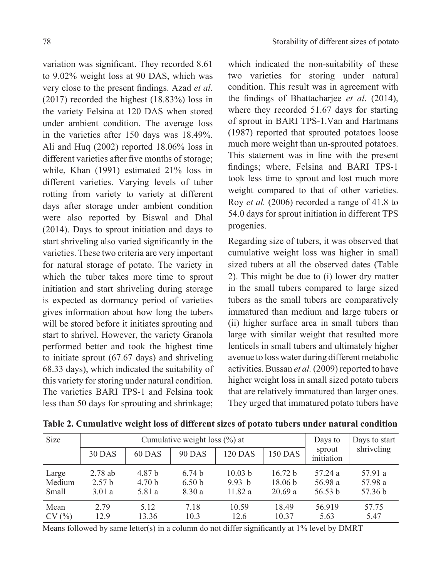variation was significant. They recorded 8.61 to 9.02% weight loss at 90 DAS, which was very close to the present findings. Azad *et al*. (2017) recorded the highest (18.83%) loss in the variety Felsina at 120 DAS when stored under ambient condition. The average loss in the varieties after 150 days was 18.49%. Ali and Huq (2002) reported 18.06% loss in different varieties after five months of storage; while, Khan (1991) estimated 21% loss in different varieties. Varying levels of tuber rotting from variety to variety at different days after storage under ambient condition were also reported by Biswal and Dhal (2014). Days to sprout initiation and days to start shriveling also varied significantly in the varieties. These two criteria are very important for natural storage of potato. The variety in which the tuber takes more time to sprout initiation and start shriveling during storage is expected as dormancy period of varieties gives information about how long the tubers will be stored before it initiates sprouting and start to shrivel. However, the variety Granola performed better and took the highest time to initiate sprout (67.67 days) and shriveling 68.33 days), which indicated the suitability of this variety for storing under natural condition. The varieties BARI TPS-1 and Felsina took less than 50 days for sprouting and shrinkage;

which indicated the non-suitability of these two varieties for storing under natural condition. This result was in agreement with the findings of Bhattacharjee *et al*. (2014), where they recorded 51.67 days for starting of sprout in BARI TPS-1.Van and Hartmans (1987) reported that sprouted potatoes loose much more weight than un-sprouted potatoes. This statement was in line with the present findings; where, Felsina and BARI TPS-1 took less time to sprout and lost much more weight compared to that of other varieties. Roy *et al.* (2006) recorded a range of 41.8 to 54.0 days for sprout initiation in different TPS progenies.

Regarding size of tubers, it was observed that cumulative weight loss was higher in small sized tubers at all the observed dates (Table 2). This might be due to (i) lower dry matter in the small tubers compared to large sized tubers as the small tubers are comparatively immatured than medium and large tubers or (ii) higher surface area in small tubers than large with similar weight that resulted more lenticels in small tubers and ultimately higher avenue to loss water during different metabolic activities. Bussan *et al.* (2009) reported to have higher weight loss in small sized potato tubers that are relatively immatured than larger ones. They urged that immatured potato tubers have

| Size   |                   | Cumulative weight loss $(\% )$ at | Days to           | Days to start |                    |                      |            |
|--------|-------------------|-----------------------------------|-------------------|---------------|--------------------|----------------------|------------|
|        | 30 DAS            | 60 DAS                            | <b>90 DAS</b>     | 120 DAS       | 150 DAS            | sprout<br>initiation | shriveling |
| Large  | $2.78$ ab         | 4.87 b                            | 6.74h             | 10.03 h       | 16.72 b            | 57.24 a              | 57.91 a    |
| Medium | 2.57 <sub>b</sub> | 4.70 <sub>b</sub>                 | 6.50 <sub>b</sub> | 9.93 h        | 18.06 <sub>b</sub> | 56.98 a              | 57.98 a    |
| Small  | 3.01a             | 5.81 a                            | 8.30a             | 11.82a        | 20.69a             | 56.53 b              | 57.36 b    |
| Mean   | 2.79              | 5.12                              | 7.18              | 10.59         | 18.49              | 56.919               | 57.75      |
| CV(%)  | 12.9              | 13.36                             | 10.3              | 12.6          | 10.37              | 5.63                 | 5.47       |

**Table 2. Cumulative weight loss of different sizes of potato tubers under natural condition**

Means followed by same letter(s) in a column do not differ significantly at  $1\%$  level by DMRT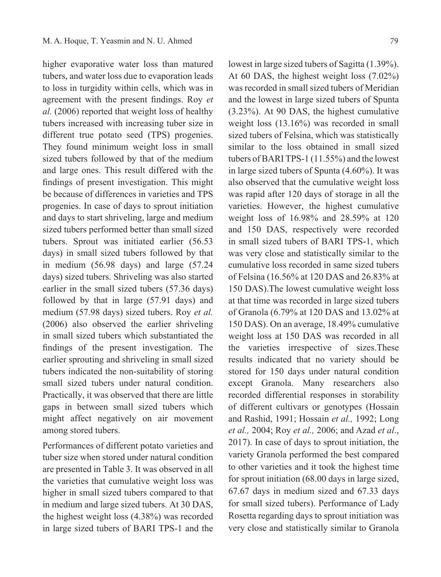higher evaporative water loss than matured tubers, and water loss due to evaporation leads to loss in turgidity within cells, which was in agreement with the present findings. Roy *et al.* (2006) reported that weight loss of healthy tubers increased with increasing tuber size in different true potato seed (TPS) progenies. They found minimum weight loss in small sized tubers followed by that of the medium and large ones. This result differed with the findings of present investigation. This might be because of differences in varieties and TPS progenies. In case of days to sprout initiation and days to start shriveling, large and medium sized tubers performed better than small sized tubers. Sprout was initiated earlier (56.53 days) in small sized tubers followed by that in medium (56.98 days) and large (57.24 days) sized tubers. Shriveling was also started earlier in the small sized tubers (57.36 days) followed by that in large (57.91 days) and medium (57.98 days) sized tubers. Roy *et al.*  (2006) also observed the earlier shriveling in small sized tubers which substantiated the findings of the present investigation. The earlier sprouting and shriveling in small sized tubers indicated the non-suitability of storing small sized tubers under natural condition. Practically, it was observed that there are little gaps in between small sized tubers which might affect negatively on air movement among stored tubers.

Performances of different potato varieties and tuber size when stored under natural condition are presented in Table 3. It was observed in all the varieties that cumulative weight loss was higher in small sized tubers compared to that in medium and large sized tubers. At 30 DAS, the highest weight loss (4.38%) was recorded in large sized tubers of BARI TPS-1 and the

lowest in large sized tubers of Sagitta (1.39%). At 60 DAS, the highest weight loss (7.02%) was recorded in small sized tubers of Meridian and the lowest in large sized tubers of Spunta (3.23%). At 90 DAS, the highest cumulative weight loss (13.16%) was recorded in small sized tubers of Felsina, which was statistically similar to the loss obtained in small sized tubers of BARI TPS-1 (11.55%) and the lowest in large sized tubers of Spunta (4.60%). It was also observed that the cumulative weight loss was rapid after 120 days of storage in all the varieties. However, the highest cumulative weight loss of 16.98% and 28.59% at 120 and 150 DAS, respectively were recorded in small sized tubers of BARI TPS-1, which was very close and statistically similar to the cumulative loss recorded in same sized tubers of Felsina (16.56% at 120 DAS and 26.83% at 150 DAS).The lowest cumulative weight loss at that time was recorded in large sized tubers of Granola (6.79% at 120 DAS and 13.02% at 150 DAS). On an average, 18.49% cumulative weight loss at 150 DAS was recorded in all the varieties irrespective of sizes.These results indicated that no variety should be stored for 150 days under natural condition except Granola. Many researchers also recorded differential responses in storability of different cultivars or genotypes (Hossain and Rashid, 1991; Hossain *et al.,* 1992; Long *et al.,* 2004; Roy *et al.,* 2006; and Azad *et al*., 2017). In case of days to sprout initiation, the variety Granola performed the best compared to other varieties and it took the highest time for sprout initiation (68.00 days in large sized, 67.67 days in medium sized and 67.33 days for small sized tubers). Performance of Lady Rosetta regarding days to sprout initiation was very close and statistically similar to Granola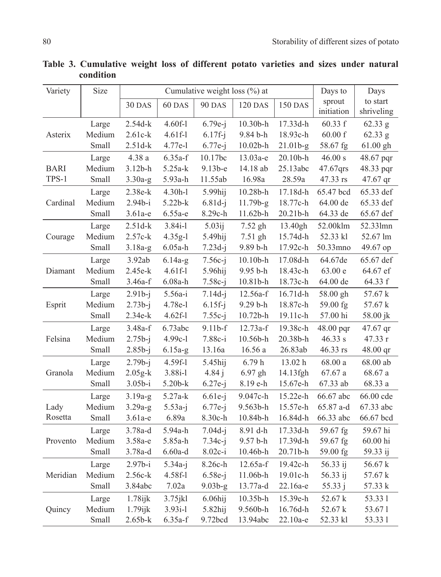| Variety     | Size   |             | Cumulative weight loss (%) at | Days to         | Days           |                    |            |            |
|-------------|--------|-------------|-------------------------------|-----------------|----------------|--------------------|------------|------------|
|             |        | 30 DAS      | 60 DAS                        | <b>90 DAS</b>   | <b>120 DAS</b> | <b>150 DAS</b>     | sprout     | to start   |
|             |        |             |                               |                 |                |                    | initiation | shriveling |
|             | Large  | $2.54d-k$   | $4.60f-1$                     | $6.79e-i$       | 10.30b-h       | 17.33d-h           | 60.33 f    | 62.33 g    |
| Asterix     | Medium | $2.61c-k$   | $4.61f-1$                     | $6.17f - j$     | 9.84 b-h       | 18.93c-h           | 60.00 f    | 62.33 g    |
|             | Small  | $2.51d-k$   | 4.77e-l                       | $6.77e-j$       | $10.02b - h$   | $21.01b-g$         | 58.67 fg   | 61.00 gh   |
|             | Large  | 4.38 a      | $6.35a-f$                     | 10.17bc         | 13.03а-е       | 20.10b-h           | 46.00 s    | 48.67 pqr  |
| <b>BARI</b> | Medium | $3.12b-h$   | $5.25a-k$                     | $9.13b-e$       | 14.18 ab       | 25.13abc           | 47.67qrs   | 48.33 pqr  |
| TPS-1       | Small  | $3.30a-g$   | 5.93a-h                       | 11.55ab         | 16.98a         | 28.59a             | 47.33 rs   | 47.67 qr   |
|             | Large  | 2.38e-k     | $4.30h-1$                     | 5.99hij         | $10.28b - h$   | 17.18d-h           | 65.47 bcd  | 65.33 def  |
| Cardinal    | Medium | $2.94b-i$   | $5.22b-k$                     | $6.81d-j$       | $11.79b-g$     | 18.77c-h           | 64.00 de   | 65.33 def  |
|             | Small  | $3.61a-e$   | $6.55a-e$                     | 8.29c-h         | $11.62b - h$   | $20.21b-h$         | 64.33 de   | 65.67 def  |
|             | Large  | $2.51d-k$   | $3.84i-1$                     | $5.03\text{ij}$ | $7.52$ gh      | 13.40gh            | 52.00klm   | 52.331mn   |
| Courage     | Medium | $2.57c-k$   | $4.35g-1$                     | 5.49hij         | 7.51 gh        | 15.74d-h           | 52.33 kl   | 52.67 lm   |
|             | Small  | $3.18a-g$   | $6.05a-h$                     | $7.23d-j$       | 9.89 b-h       | 17.92c-h           | 50.33mno   | 49.67 op   |
|             | Large  | 3.92ab      | $6.14a-g$                     | $7.56c-i$       | $10.10b - h$   | 17.08d-h           | 64.67de    | 65.67 def  |
| Diamant     | Medium | 2.45e-k     | $4.61f-1$                     | 5.96hij         | 9.95 b-h       | 18.43c-h           | 63.00 e    | 64.67 ef   |
|             | Small  | $3.46a-f$   | $6.08a-h$                     | $7.58c-j$       | 10.81b-h       | 18.73c-h           | 64.00 de   | 64.33 f    |
|             | Large  | $2.91b-i$   | 5.56a-i                       | $7.14d-i$       | 12.56a-f       | 16.71d-h           | 58.00 gh   | 57.67 k    |
| Esprit      | Medium | $2.73b-j$   | 4.78e-l                       | $6.15f-j$       | 9.29 b-h       | 18.87c-h           | 59.00 fg   | 57.67 k    |
|             | Small  | $2.34e-k$   | $4.62f-1$                     | $7.55c-j$       | 10.72b-h       | 19.11c-h           | $57.00$ hi | 58.00 jk   |
|             | Large  | $3.48a-f$   | 6.73abc                       | $9.11b-f$       | 12.73a-f       | 19.38c-h           | 48.00 pqr  | 47.67 qr   |
| Felsina     | Medium | $2.75b-j$   | 4.99c-l                       | 7.88c-i         | 10.56b-h       | 20.38b-h           | 46.33 s    | 47.33 r    |
|             | Small  | $2.85b-j$   | $6.15a-g$                     | 13.16a          | 16.56 a        | $26.83\mathrm{ab}$ | 46.33 rs   | 48.00 qr   |
|             | Large  | $2.79b - j$ | 4.59f-l                       | 5.45hij         | 6.79h          | 13.02 h            | 68.00a     | 68.00 ab   |
| Granola     | Medium | $2.05g-k$   | $3.88i-1$                     | 4.84j           | $6.97$ gh      | 14.13fgh           | 67.67a     | 68.67 a    |
|             | Small  | $3.05b-i$   | 5.20b-k                       | $6.27e-j$       | 8.19 e-h       | 15.67e-h           | 67.33 ab   | 68.33 a    |
|             | Large  | $3.19a-g$   | 5.27a-k                       | $6.61e-i$       | 9.047c-h       | 15.22e-h           | 66.67 abc  | 66.00 cde  |
| Lady        | Medium | $3.29a-g$   | $5.53a-j$                     | $6.77e-j$       | 9.563b-h       | 15.57e-h           | 65.87 a-d  | 67.33 abc  |
| Rosetta     | Small  | $3.61a-e$   | 6.89a                         | 8.30c-h         | 10.84b-h       | 16.84d-h           | 66.33 abc  | 66.67 bcd  |
|             | Large  | 3.78a-d     | 5.94a-h                       | $7.04d-i$       | 8.91 d-h       | 17.33d-h           | 59.67 fg   | 59.67 hi   |
| Provento    | Medium | 3.58a-e     | 5.85a-h                       | $7.34c-j$       | 9.57 b-h       | 17.39d-h           | 59.67 fg   | 60.00 hi   |
|             | Small  | 3.78a-d     | $6.60a-d$                     | $8.02c-i$       | 10.46b-h       | 20.71b-h           | 59.00 fg   | 59.33 ij   |
|             | Large  | $2.97b-i$   | $5.34a-j$                     | 8.26c-h         | 12.65a-f       | 19.42c-h           | 56.33 ij   | 56.67 k    |
| Meridian    | Medium | 2.56c-k     | 4.58f-l                       | $6.58e-j$       | 11.06b-h       | 19.01c-h           | 56.33 ij   | 57.67 k    |
|             | Small  | 3.84abc     | 7.02a                         | $9.03b-g$       | 13.77a-d       | 22.16a-e           | 55.33 j    | 57.33 k    |
|             | Large  | $1.78$ ijk  | $3.75$ jkl                    | $6.06$ hij      | $10.35b$ -h    | 15.39e-h           | 52.67 k    | 53.331     |
| Quincy      | Medium | $1.79$ ijk  | $3.93i-1$                     | 5.82hij         | 9.560b-h       | 16.76d-h           | 52.67 k    | 53.671     |
|             | Small  | $2.65b-k$   | $6.35a-f$                     | 9.72bcd         | 13.94abc       | $22.10a-e$         | 52.33 kl   | 53.331     |

Table 3. Cumulative weight loss of different potato varieties and sizes under natural condition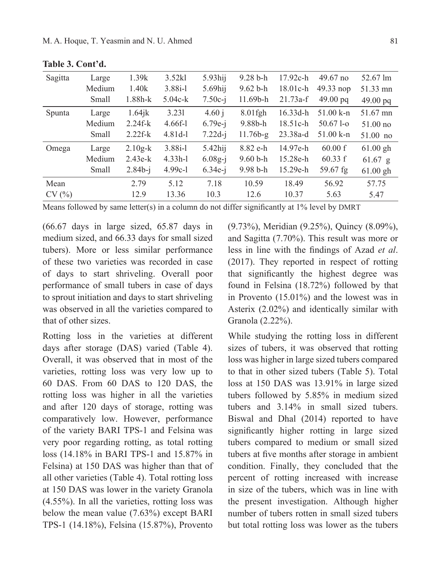| Sagitta | Large  | 1.39k       | 3.52kl    | $5.93$ hij | $9.28 b-h$   | $17.92c-h$ | $49.67$ no   | $52.67 \text{ lm}$ |
|---------|--------|-------------|-----------|------------|--------------|------------|--------------|--------------------|
|         | Medium | 1.40k       | $3.88i-1$ | $5.69$ hij | $9.62 b-h$   | $18.01c-h$ | $49.33$ nop  | 51.33 mn           |
|         | Small  | $1.88h - k$ | $5.04c-k$ | $7.50c-i$  | $11.69b - h$ | $21.73a-f$ | $49.00$ pq   | $49.00$ pq         |
| Spunta  | Large  | $1.64$ jk   | 3.231     | 4.60 i     | $8.01$ fgh   | $16.33d-h$ | 51.00 k-n    | 51.67 mn           |
|         | Medium | $2.24f - k$ | $4.66f-1$ | $6.79e-i$  | $9.88b-h$    | $18.51c-h$ | $50.671 - o$ | $51.00\ \text{no}$ |
|         | Small  | $2.22f-k$   | $4.81d-1$ | $7.22d-i$  | $11.76b-g$   | $23.38a-d$ | 51.00 k-n    | $51.00$ no         |
| Omega   | Large  | $2.10g-k$   | $3.88i-1$ | $5.42$ hij | 8.82 e-h     | 14.97e-h   | 60.00 f      | $61.00$ gh         |
|         | Medium | $2.43e-k$   | $4.33h-1$ | $6.08g-i$  | $9.60 b-h$   | 15.28e-h   | 60.33 f      | $61.67$ g          |
|         | Small  | $2.84b - j$ | $4.99c-1$ | $6.34e-i$  | $9.98 b-h$   | $15.29e-h$ | $59.67$ fg   | $61.00$ gh         |
| Mean    |        | 2.79        | 5.12      | 7.18       | 10.59        | 18.49      | 56.92        | 57.75              |
| CV(%)   |        | 12.9        | 13.36     | 10.3       | 12.6         | 10.37      | 5.63         | 5.47               |

**Table 3. Cont'd.**

Means followed by same letter(s) in a column do not differ significantly at 1% level by DMRT

(66.67 days in large sized, 65.87 days in medium sized, and 66.33 days for small sized tubers). More or less similar performance of these two varieties was recorded in case of days to start shriveling. Overall poor performance of small tubers in case of days to sprout initiation and days to start shriveling was observed in all the varieties compared to that of other sizes.

Rotting loss in the varieties at different days after storage (DAS) varied (Table 4). Overall, it was observed that in most of the varieties, rotting loss was very low up to 60 DAS. From 60 DAS to 120 DAS, the rotting loss was higher in all the varieties and after 120 days of storage, rotting was comparatively low. However, performance of the variety BARI TPS-1 and Felsina was very poor regarding rotting, as total rotting loss (14.18% in BARI TPS-1 and 15.87% in Felsina) at 150 DAS was higher than that of all other varieties (Table 4). Total rotting loss at 150 DAS was lower in the variety Granola (4.55%). In all the varieties, rotting loss was below the mean value (7.63%) except BARI TPS-1 (14.18%), Felsina (15.87%), Provento

(9.73%), Meridian (9.25%), Quincy (8.09%), and Sagitta (7.70%). This result was more or less in line with the findings of Azad *et al*. (2017). They reported in respect of rotting that significantly the highest degree was found in Felsina (18.72%) followed by that in Provento (15.01%) and the lowest was in Asterix (2.02%) and identically similar with Granola (2.22%).

While studying the rotting loss in different sizes of tubers, it was observed that rotting loss was higher in large sized tubers compared to that in other sized tubers (Table 5). Total loss at 150 DAS was 13.91% in large sized tubers followed by 5.85% in medium sized tubers and 3.14% in small sized tubers. Biswal and Dhal (2014) reported to have significantly higher rotting in large sized tubers compared to medium or small sized tubers at five months after storage in ambient condition. Finally, they concluded that the percent of rotting increased with increase in size of the tubers, which was in line with the present investigation. Although higher number of tubers rotten in small sized tubers but total rotting loss was lower as the tubers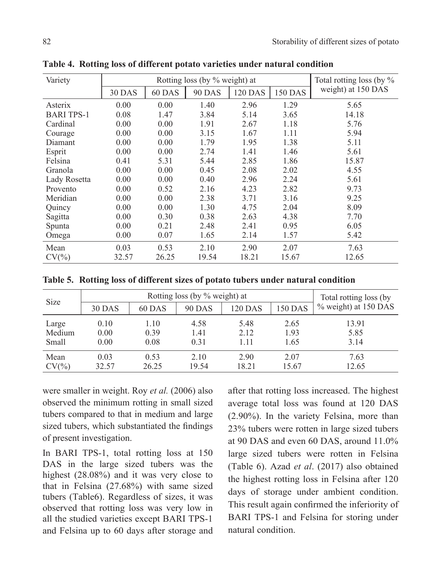| Variety           |        | Rotting loss (by % weight) at |               | Total rotting loss (by % |                |                    |
|-------------------|--------|-------------------------------|---------------|--------------------------|----------------|--------------------|
|                   | 30 DAS | 60 DAS                        | <b>90 DAS</b> | <b>120 DAS</b>           | <b>150 DAS</b> | weight) at 150 DAS |
| Asterix           | 0.00   | 0.00                          | 1.40          | 2.96                     | 1.29           | 5.65               |
| <b>BARI TPS-1</b> | 0.08   | 1.47                          | 3.84          | 5.14                     | 3.65           | 14.18              |
| Cardinal          | 0.00   | 0.00                          | 1.91          | 2.67                     | 1.18           | 5.76               |
| Courage           | 0.00   | 0.00                          | 3.15          | 1.67                     | 1.11           | 5.94               |
| Diamant           | 0.00   | 0.00                          | 1.79          | 1.95                     | 1.38           | 5.11               |
| Esprit            | 0.00   | 0.00                          | 2.74          | 1.41                     | 1.46           | 5.61               |
| Felsina           | 0.41   | 5.31                          | 5.44          | 2.85                     | 1.86           | 15.87              |
| Granola           | 0.00   | 0.00                          | 0.45          | 2.08                     | 2.02           | 4.55               |
| Lady Rosetta      | 0.00   | 0.00                          | 0.40          | 2.96                     | 2.24           | 5.61               |
| Provento          | 0.00   | 0.52                          | 2.16          | 4.23                     | 2.82           | 9.73               |
| Meridian          | 0.00   | 0.00                          | 2.38          | 3.71                     | 3.16           | 9.25               |
| Quincy            | 0.00   | 0.00                          | 1.30          | 4.75                     | 2.04           | 8.09               |
| Sagitta           | 0.00   | 0.30                          | 0.38          | 2.63                     | 4.38           | 7.70               |
| Spunta            | 0.00   | 0.21                          | 2.48          | 2.41                     | 0.95           | 6.05               |
| Omega             | 0.00   | 0.07                          | 1.65          | 2.14                     | 1.57           | 5.42               |
| Mean              | 0.03   | 0.53                          | 2.10          | 2.90                     | 2.07           | 7.63               |
| $CV(\% )$         | 32.57  | 26.25                         | 19.54         | 18.21                    | 15.67          | 12.65              |

**Table 4. Rotting loss of different potato varieties under natural condition**

**Table 5. Rotting loss of different sizes of potato tubers under natural condition**

| Size      |        | Total rotting loss (by |               |                |         |                      |
|-----------|--------|------------------------|---------------|----------------|---------|----------------------|
|           | 30 DAS | 60 DAS                 | <b>90 DAS</b> | <b>120 DAS</b> | 150 DAS | % weight) at 150 DAS |
| Large     | 0.10   | 1.10                   | 4.58          | 5.48           | 2.65    | 13.91                |
| Medium    | 0.00   | 0.39                   | 1.41          | 2.12           | 1.93    | 5.85                 |
| Small     | 0.00   | 0.08                   | 0.31          | 1.11           | 1.65    | 3.14                 |
| Mean      | 0.03   | 0.53                   | 2.10          | 2.90           | 2.07    | 7.63                 |
| $CV(\% )$ | 32.57  | 26.25                  | 19.54         | 18.21          | 15.67   | 12.65                |

were smaller in weight. Roy *et al.* (2006) also observed the minimum rotting in small sized tubers compared to that in medium and large sized tubers, which substantiated the findings of present investigation.

In BARI TPS-1, total rotting loss at 150 DAS in the large sized tubers was the highest (28.08%) and it was very close to that in Felsina (27.68%) with same sized tubers (Table6). Regardless of sizes, it was observed that rotting loss was very low in all the studied varieties except BARI TPS-1 and Felsina up to 60 days after storage and

after that rotting loss increased. The highest average total loss was found at 120 DAS (2.90%). In the variety Felsina, more than 23% tubers were rotten in large sized tubers at 90 DAS and even 60 DAS, around 11.0% large sized tubers were rotten in Felsina (Table 6). Azad *et al*. (2017) also obtained the highest rotting loss in Felsina after 120 days of storage under ambient condition. This result again confirmed the inferiority of BARI TPS-1 and Felsina for storing under natural condition.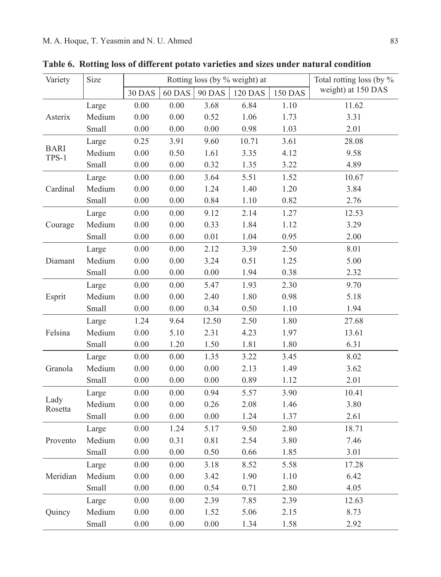| Variety              | Size<br>Rotting loss (by % weight) at |          |          |               |                |                | Total rotting loss (by % |
|----------------------|---------------------------------------|----------|----------|---------------|----------------|----------------|--------------------------|
|                      |                                       | 30 DAS   | 60 DAS   | <b>90 DAS</b> | <b>120 DAS</b> | <b>150 DAS</b> | weight) at 150 DAS       |
|                      | Large                                 | $0.00\,$ | 0.00     | 3.68          | 6.84           | 1.10           | 11.62                    |
| Asterix              | Medium                                | $0.00\,$ | 0.00     | 0.52          | 1.06           | 1.73           | 3.31                     |
|                      | Small                                 | $0.00\,$ | 0.00     | 0.00          | 0.98           | 1.03           | 2.01                     |
|                      | Large                                 | 0.25     | 3.91     | 9.60          | 10.71          | 3.61           | 28.08                    |
| <b>BARI</b><br>TPS-1 | Medium                                | $0.00\,$ | 0.50     | 1.61          | 3.35           | 4.12           | 9.58                     |
|                      | Small                                 | $0.00\,$ | $0.00\,$ | 0.32          | 1.35           | 3.22           | 4.89                     |
|                      | Large                                 | 0.00     | 0.00     | 3.64          | 5.51           | 1.52           | 10.67                    |
| Cardinal             | Medium                                | $0.00\,$ | 0.00     | 1.24          | 1.40           | 1.20           | 3.84                     |
|                      | Small                                 | 0.00     | 0.00     | 0.84          | 1.10           | 0.82           | 2.76                     |
|                      | Large                                 | 0.00     | 0.00     | 9.12          | 2.14           | 1.27           | 12.53                    |
| Courage              | Medium                                | $0.00\,$ | 0.00     | 0.33          | 1.84           | 1.12           | 3.29                     |
|                      | Small                                 | $0.00\,$ | $0.00\,$ | 0.01          | 1.04           | 0.95           | 2.00                     |
|                      | Large                                 | 0.00     | 0.00     | 2.12          | 3.39           | 2.50           | 8.01                     |
| Diamant              | Medium                                | $0.00\,$ | 0.00     | 3.24          | 0.51           | 1.25           | 5.00                     |
|                      | Small                                 | $0.00\,$ | $0.00\,$ | 0.00          | 1.94           | 0.38           | 2.32                     |
|                      | Large                                 | $0.00\,$ | 0.00     | 5.47          | 1.93           | 2.30           | 9.70                     |
| Esprit               | Medium                                | 0.00     | 0.00     | 2.40          | 1.80           | 0.98           | 5.18                     |
|                      | Small                                 | $0.00\,$ | 0.00     | 0.34          | 0.50           | 1.10           | 1.94                     |
|                      | Large                                 | 1.24     | 9.64     | 12.50         | 2.50           | 1.80           | 27.68                    |
| Felsina              | Medium                                | 0.00     | 5.10     | 2.31          | 4.23           | 1.97           | 13.61                    |
|                      | Small                                 | 0.00     | 1.20     | 1.50          | 1.81           | 1.80           | 6.31                     |
|                      | Large                                 | $0.00\,$ | 0.00     | 1.35          | 3.22           | 3.45           | 8.02                     |
| Granola              | Medium                                | 0.00     | 0.00     | 0.00          | 2.13           | 1.49           | 3.62                     |
|                      | Small                                 | 0.00     | 0.00     | 0.00          | 0.89           | 1.12           | 2.01                     |
|                      | Large                                 | $0.00\,$ | 0.00     | 0.94          | 5.57           | 3.90           | 10.41                    |
| Lady<br>Rosetta      | Medium                                | 0.00     | 0.00     | 0.26          | 2.08           | 1.46           | 3.80                     |
|                      | Small                                 | 0.00     | 0.00     | 0.00          | 1.24           | 1.37           | 2.61                     |
|                      | Large                                 | $0.00\,$ | 1.24     | 5.17          | 9.50           | 2.80           | 18.71                    |
| Provento             | Medium                                | $0.00\,$ | 0.31     | 0.81          | 2.54           | 3.80           | 7.46                     |
|                      | Small                                 | 0.00     | 0.00     | 0.50          | 0.66           | 1.85           | 3.01                     |
|                      | Large                                 | 0.00     | 0.00     | 3.18          | 8.52           | 5.58           | 17.28                    |
| Meridian             | Medium                                | $0.00\,$ | 0.00     | 3.42          | 1.90           | 1.10           | 6.42                     |
|                      | Small                                 | $0.00\,$ | 0.00     | 0.54          | 0.71           | 2.80           | 4.05                     |
|                      | Large                                 | 0.00     | 0.00     | 2.39          | 7.85           | 2.39           | 12.63                    |
| Quincy               | Medium                                | $0.00\,$ | 0.00     | 1.52          | 5.06           | 2.15           | 8.73                     |
|                      | Small                                 | 0.00     | 0.00     | 0.00          | 1.34           | 1.58           | 2.92                     |
|                      |                                       |          |          |               |                |                |                          |

**Table 6. Rotting loss of different potato varieties and sizes under natural condition**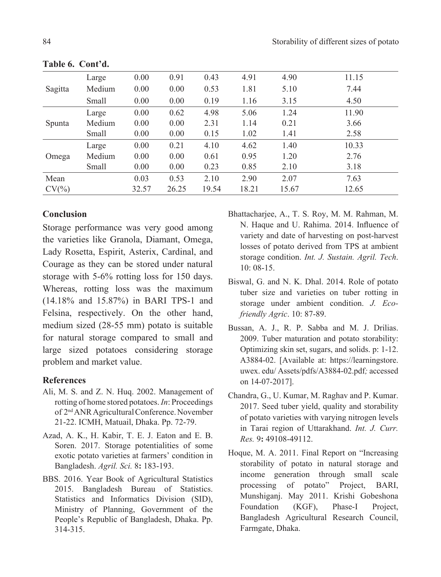|           | Large  | 0.00  | 0.91  | 0.43  | 4.91  | 4.90  | 11.15 |
|-----------|--------|-------|-------|-------|-------|-------|-------|
| Sagitta   | Medium | 0.00  | 0.00  | 0.53  | 1.81  | 5.10  | 7.44  |
|           | Small  | 0.00  | 0.00  | 0.19  | 1.16  | 3.15  | 4.50  |
|           | Large  | 0.00  | 0.62  | 4.98  | 5.06  | 1.24  | 11.90 |
| Spunta    | Medium | 0.00  | 0.00  | 2.31  | 1.14  | 0.21  | 3.66  |
|           | Small  | 0.00  | 0.00  | 0.15  | 1.02  | 1.41  | 2.58  |
|           | Large  | 0.00  | 0.21  | 4.10  | 4.62  | 1.40  | 10.33 |
| Omega     | Medium | 0.00  | 0.00  | 0.61  | 0.95  | 1.20  | 2.76  |
|           | Small  | 0.00  | 0.00  | 0.23  | 0.85  | 2.10  | 3.18  |
| Mean      |        | 0.03  | 0.53  | 2.10  | 2.90  | 2.07  | 7.63  |
| $CV(\% )$ |        | 32.57 | 26.25 | 19.54 | 18.21 | 15.67 | 12.65 |
|           |        |       |       |       |       |       |       |

**Table 6. Cont'd.**

### **Conclusion**

Storage performance was very good among the varieties like Granola, Diamant, Omega, Lady Rosetta, Espirit, Asterix, Cardinal, and Courage as they can be stored under natural storage with 5-6% rotting loss for 150 days. Whereas, rotting loss was the maximum (14.18% and 15.87%) in BARI TPS-1 and Felsina, respectively. On the other hand, medium sized (28-55 mm) potato is suitable for natural storage compared to small and large sized potatoes considering storage problem and market value.

### **References**

- Ali, M. S. and Z. N. Huq. 2002. Management of rotting of home stored potatoes. *In*: Proceedings of 2nd ANR Agricultural Conference. November 21-22. ICMH, Matuail, Dhaka. Pp. 72-79.
- Azad, A. K., H. Kabir, T. E. J. Eaton and E. B. Soren. 2017. Storage potentialities of some exotic potato varieties at farmers' condition in Bangladesh. *Agril. Sci.* 8**:** 183-193.
- BBS. 2016. Year Book of Agricultural Statistics 2015. Bangladesh Bureau of Statistics. Statistics and Informatics Division (SID), Ministry of Planning, Government of the People's Republic of Bangladesh, Dhaka. Pp. 314-315.
- Bhattacharjee, A., T. S. Roy, M. M. Rahman, M. N. Haque and U. Rahima. 2014. Influence of variety and date of harvesting on post-harvest losses of potato derived from TPS at ambient storage condition. *Int. J. Sustain. Agril. Tech*. 10: 08-15.
- Biswal, G. and N. K. Dhal. 2014. Role of potato tuber size and varieties on tuber rotting in storage under ambient condition. *J. Ecofriendly Agric*. 10: 87-89.
- Bussan, A. J., R. P. Sabba and M. J. Drilias. 2009. Tuber maturation and potato storability: Optimizing skin set, sugars, and solids. p: 1-12. A3884-02. [Available at: https://learningstore. uwex. edu/ Assets/pdfs/A3884-02.pdf*;* accessed on 14-07-2017].
- Chandra, G., U. Kumar, M. Raghav and P. Kumar. 2017. Seed tuber yield, quality and storability of potato varieties with varying nitrogen levels in Tarai region of Uttarakhand. *Int. J. Curr. Res.* 9**:** 49108-49112.
- Hoque, M. A. 2011. Final Report on "Increasing storability of potato in natural storage and income generation through small scale processing of potato" Project, BARI, Munshiganj. May 2011. Krishi Gobeshona Foundation (KGF), Phase-I Project, Bangladesh Agricultural Research Council, Farmgate, Dhaka.